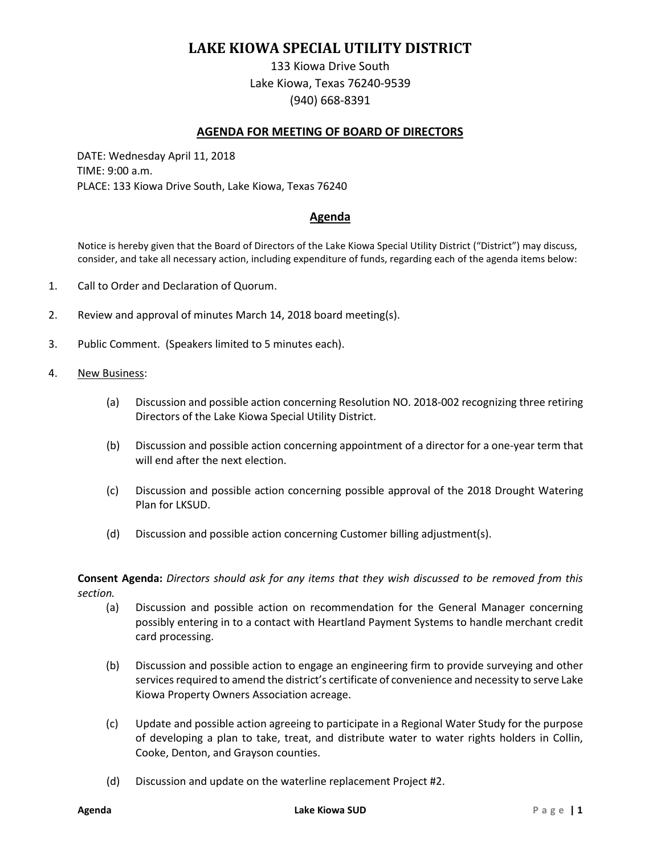# **LAKE KIOWA SPECIAL UTILITY DISTRICT**

133 Kiowa Drive South Lake Kiowa, Texas 76240-9539 (940) 668-8391

## **AGENDA FOR MEETING OF BOARD OF DIRECTORS**

DATE: Wednesday April 11, 2018 TIME: 9:00 a.m. PLACE: 133 Kiowa Drive South, Lake Kiowa, Texas 76240

## **Agenda**

Notice is hereby given that the Board of Directors of the Lake Kiowa Special Utility District ("District") may discuss, consider, and take all necessary action, including expenditure of funds, regarding each of the agenda items below:

- 1. Call to Order and Declaration of Quorum.
- 2. Review and approval of minutes March 14, 2018 board meeting(s).
- 3. Public Comment. (Speakers limited to 5 minutes each).
- 4. New Business:
	- (a) Discussion and possible action concerning Resolution NO. 2018-002 recognizing three retiring Directors of the Lake Kiowa Special Utility District.
	- (b) Discussion and possible action concerning appointment of a director for a one-year term that will end after the next election.
	- (c) Discussion and possible action concerning possible approval of the 2018 Drought Watering Plan for LKSUD.
	- (d) Discussion and possible action concerning Customer billing adjustment(s).

**Consent Agenda:** *Directors should ask for any items that they wish discussed to be removed from this section.*

- (a) Discussion and possible action on recommendation for the General Manager concerning possibly entering in to a contact with Heartland Payment Systems to handle merchant credit card processing.
- (b) Discussion and possible action to engage an engineering firm to provide surveying and other services required to amend the district's certificate of convenience and necessity to serve Lake Kiowa Property Owners Association acreage.
- (c) Update and possible action agreeing to participate in a Regional Water Study for the purpose of developing a plan to take, treat, and distribute water to water rights holders in Collin, Cooke, Denton, and Grayson counties.
- (d) Discussion and update on the waterline replacement Project #2.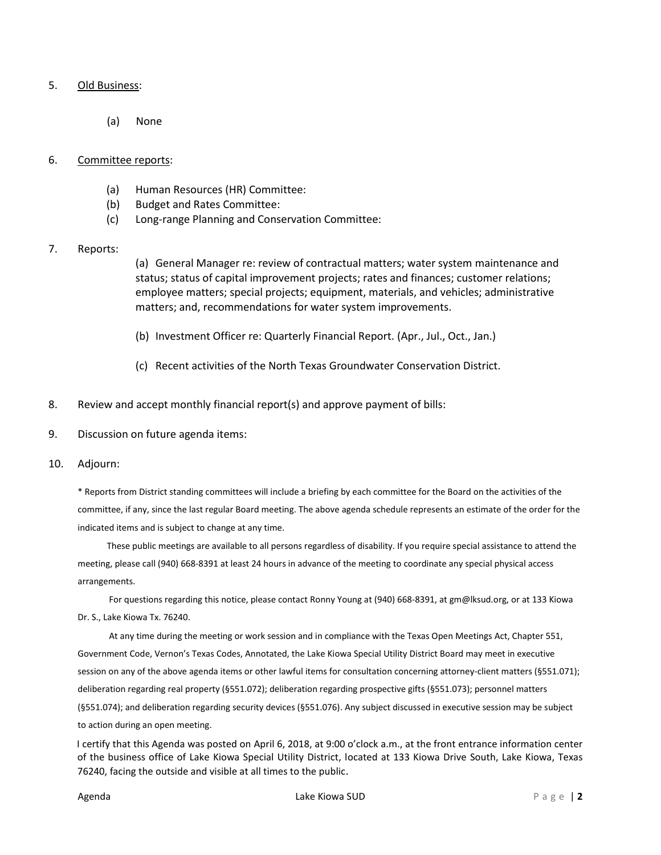#### 5. Old Business:

(a) None

#### 6. Committee reports:

- (a) Human Resources (HR) Committee:
- (b) Budget and Rates Committee:
- (c) Long-range Planning and Conservation Committee:
- 7. Reports:

(a) General Manager re: review of contractual matters; water system maintenance and status; status of capital improvement projects; rates and finances; customer relations; employee matters; special projects; equipment, materials, and vehicles; administrative matters; and, recommendations for water system improvements.

- (b) Investment Officer re: Quarterly Financial Report. (Apr., Jul., Oct., Jan.)
- (c) Recent activities of the North Texas Groundwater Conservation District.
- 8. Review and accept monthly financial report(s) and approve payment of bills:
- 9. Discussion on future agenda items:
- 10. Adjourn:

\* Reports from District standing committees will include a briefing by each committee for the Board on the activities of the committee, if any, since the last regular Board meeting. The above agenda schedule represents an estimate of the order for the indicated items and is subject to change at any time.

These public meetings are available to all persons regardless of disability. If you require special assistance to attend the meeting, please call (940) 668-8391 at least 24 hours in advance of the meeting to coordinate any special physical access arrangements.

For questions regarding this notice, please contact Ronny Young at (940) 668-8391, at gm@lksud.org, or at 133 Kiowa Dr. S., Lake Kiowa Tx. 76240.

At any time during the meeting or work session and in compliance with the Texas Open Meetings Act, Chapter 551, Government Code, Vernon's Texas Codes, Annotated, the Lake Kiowa Special Utility District Board may meet in executive session on any of the above agenda items or other lawful items for consultation concerning attorney-client matters (§551.071); deliberation regarding real property (§551.072); deliberation regarding prospective gifts (§551.073); personnel matters (§551.074); and deliberation regarding security devices (§551.076). Any subject discussed in executive session may be subject to action during an open meeting.

I certify that this Agenda was posted on April 6, 2018, at 9:00 o'clock a.m., at the front entrance information center of the business office of Lake Kiowa Special Utility District, located at 133 Kiowa Drive South, Lake Kiowa, Texas 76240, facing the outside and visible at all times to the public.